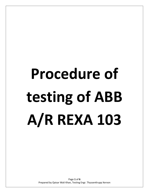# **Procedure of testing of ABB A/R REXA 103**

Page **1** of **6** Prepared by Qaisar Wali Khan, Testing Engr. ThyssenKrupp Xervon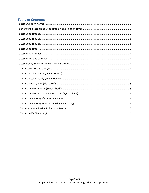# **Table of Contents**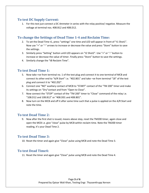# <span id="page-2-0"></span>**To test DC Supply Current:**

1. For this test just connect a DC Ammeter in series with the relay positive/ negative. Measure the voltage at terminal nos. 408.B12 and 408.D12.

# <span id="page-2-1"></span>**To change the Settings of Dead Time 1-4 and Reclaim Time:**

- 2. To set the Dead Time t1, press "settings" one time and LED will appear in front of "t1 Shot1". Now use "+" or "-" arrows to increase or decrease the value and press "Store" button to save the settings.
- 3. Similarly press "Setting" button until LED appears on "t2 Shot2". Use "+" or "-" button to increase or decrease the value of timer. Finally press "Store" button to save the settings.
- 4. Similarly change the "tB Reclaim Time".

# <span id="page-2-2"></span>**To test Dead Time 1:**

- 5. Now take +ve from terminal no. 1 of the test plug and connect it to one terminal of MCB and connect its other end to "A/R Start" i.e. "402.B01" and take –ve from terminal "18" of the test plug and connect it to "402.Z02".
- 6. Connect one "NO" auxiliary contact of MCB to "START" contact of the "TM 200" timer and make its settings on "Dry"contact and from "Open to Close".
- 7. Now connect the "STOP" contact of the "TM 200" timer to "Close" command of the relay i.e. "108.D12 and 108.B12" or "408.D01 and 408.B01".
- 8. Now turn on the MCB and off it after some time such that a pulse is applied on the A/R Start and note the time.

# <span id="page-2-3"></span>**To test Dead Time 2:**

9. Now after the first shot is issued, means above step, reset the TM200 timer, again close and open the MCB i.e. give "close" pulse by MCB within reclaim time. Note the TM200 timer reading, it's your Dead Time 2.

# <span id="page-2-4"></span>**To test Dead Time 3:**

10. Reset the timer and again give "Close" pulse using MCB and note the Dead Time 3.

# <span id="page-2-5"></span>**To test Dead Time4:**

11. Reset the timer and again give "Close" pulse using MCB and note the Dead Time 4.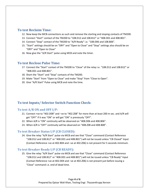### <span id="page-3-0"></span>**To test Reclaim Time:**

- 12. Now keep the MCB connections as such and remove the starting and stoping contacts of TM200.
- 13. Connect "Start" contact of the TM200 to "108.D12 and 108.B12" or "408.D01 and 408.B01".
- 14. Connect "Stop" contact of the TM200 to "A/R Ready" i.e. "108.D06 and 108.B06".
- 15. "Start" settings should be on "DRY" and "Open to Close" and "Stop" settings also should be on "DRY" and "Open to Close"
- 16. Now give the "A/R Start" pulse using MCB and note the timer.

# <span id="page-3-1"></span>**To test Reclose Pulse Time:**

- 17. Connect the "Start" contact of the TM200 to "Close" of the relay i.e. "108.D12 and 108.B12" or "408.D01 and 408.B01".
- 18. Short the "Start" and "Stop" contacts of the TM200.
- 19. Make "Start" from "Open to Close" and make "Stop" from "Close to Open".
- 20. Give "A/R Start" Pulse using MCB and note the time.

# <span id="page-3-2"></span>**To test Inputs/ Selector Switch Function Check:**

### <span id="page-3-3"></span>**To test A/R ON and OFF I/P:**

- 21. Connect +ve to "402.D08" and –ve to "402.Z08" for more than at least 200 m sec. and A/R will get "OFF" if it was "ON" or will get "ON" is previously "OFF".
- 22. When A/R is "ON" continuity will be observed on "408.D06 and 408.B06".
- 23. When A/R is "OFF" continuity will be observed on "408.Z08 and 408.B08".

### <span id="page-3-4"></span>**To test Breaker Status I/P (CB CLOSED):**

24. Give the relay "A/R Start" pulse via MCB and see that "Close" command (Contact Reference "108.D12 and 108.B12" or "408.D01 and 408.B01") will not be issued unless "CB Closed" Input (Contact Reference +ve at 402.B04 and –ve at 402.Z06) is not present for 5 seconds minimum.

### <span id="page-3-5"></span>**To test Breaker Ready I/P (CB READY):**

25. Give the relay "A/R Start" pulse via MCB and see that "Close" command (Contact Reference "108.D12 and 108.B12" or "408.D01 and 408.B01") will not be issued unless "CB Ready" Input (Contact Reference +ve at 402.D04 and –ve at 402.Z06) is not present just before issuing a "Close" command i.e. end of dead time.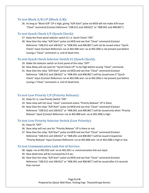# <span id="page-4-0"></span>**To test Block A/R I/P (Block A/R):**

26. As long as "Block A/R" I/P is high, giving "A/R Start" pulse via MCB will not make A/R issue "Close" command (Contact Reference "108.D12 and 108.B12" or "408.D01 and 408.B01").

# <span id="page-4-1"></span>**To test Synch Check I/P (Synch Check):**

- 27. Keep the front panel selector switch S1 i.e. Synch Check "ON".
- 28. Now Give the relay "A/R Start" pulse via MCB and see that "Close" command (Contact Reference "108.D12 and 108.B12" or "408.D01 and 408.B01") will not be issued unless "Synch Check" Input (Contact Reference +ve at 402.D06 and –ve at 402.Z06) is not present just before issuing a "Close" command i.e. end of dead time.

# <span id="page-4-2"></span>**To test Synch Check Selector Switch S1 (Synch Check):**

- 29. Make the Selector switch on front panel of the relay "OFF".
- 30. Now Relay will not wait for "Synch Check I/P" to be high before issuing "Close" command.
- 31. Now Give the relay "A/R Start" pulse via MCB and see that "Close" command (Contact Reference "108.D12 and 108.B12" or "408.D01 and 408.B01") will be issued even if "Synch Check" Input (Contact Reference +ve at 402.D06 and –ve at 402.Z06) is not present just before issuing a "Close" command i.e. end of dead time.

# <span id="page-4-3"></span>**To test Low Priority I/P (Priority Release):**

- 32. Keep S2 i.e. Low Priority Switch "ON".
- 33. Now relay will not issue "close" command unless "Priority Release" I/P is there.
- 34. Now Give the relay "A/R Start" pulse via MCB and see that "Close" command (Contact Reference "108.D12 and 108.B12" or "408.D01 and 408.B01") will be issued only when "Priority Release" Input (Contact Reference +ve at 402.B08 and –ve at 402.Z08) is high.

# <span id="page-4-4"></span>**To test Low Priority Selector Switch (Low Priority):**

- 35. Keep S2 "OFF".
- 36. Now relay will not care for "Priority Release" I/P is there or not.
- 37. Now Give the relay "A/R Start" pulse via MCB and see that "Close" command (Contact Reference "108.D12 and 108.B12" or "408.D01 and 408.B01") will be issued irrespective "Priority Release" Input (Contact Reference +ve at 402.B08 and –ve at 402.Z08) is high or low.

# <span id="page-4-5"></span>**To test Communication Link Out of Service:**

- 38. Apply +ve at 402.D02 and –ve at 402.Z02 i.e. communication link out input.
- 39. Now dead time will be increased by 0.4 sec.
- 40. Now Give the relay "A/R Start" pulse via MCB and see that "Close" command (Contact Reference "108.D12 and 108.B12" or "408.D01 and 408.B01") will be issued after 0.4 seconds than normal.